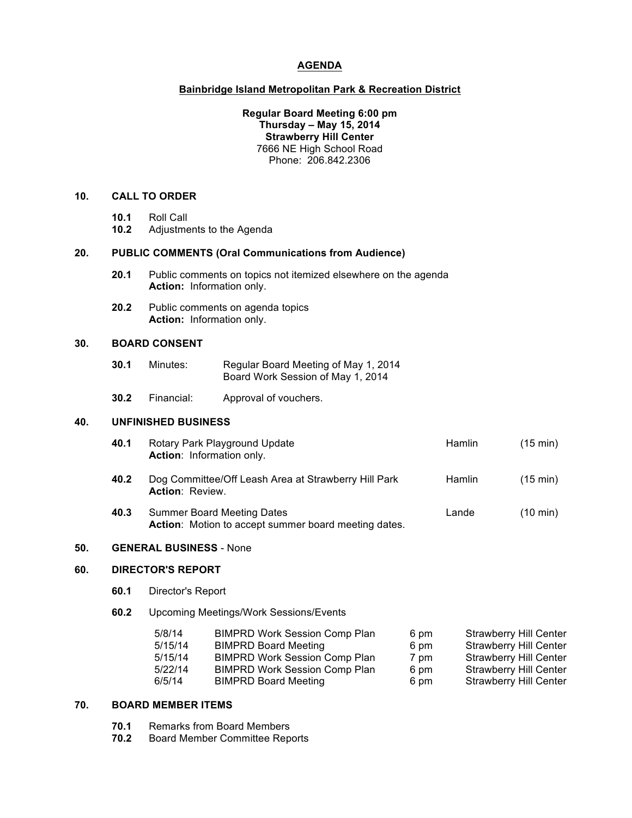## **AGENDA**

### **Bainbridge Island Metropolitan Park & Recreation District**

## **Regular Board Meeting 6:00 pm Thursday – May 15, 2014 Strawberry Hill Center** 7666 NE High School Road Phone: 206.842.2306

#### **10. CALL TO ORDER**

- **10.1** Roll Call
- **10.2** Adjustments to the Agenda

#### **20. PUBLIC COMMENTS (Oral Communications from Audience)**

- **20.1** Public comments on topics not itemized elsewhere on the agenda **Action:** Information only.
- **20.2** Public comments on agenda topics **Action:** Information only.

## **30. BOARD CONSENT**

- **30.1** Minutes: Regular Board Meeting of May 1, 2014 Board Work Session of May 1, 2014
- **30.2** Financial: Approval of vouchers.

## **40. UNFINISHED BUSINESS**

| 40.1 | Rotary Park Playground Update<br>Action: Information only.                         | <b>Hamlin</b> | $(15 \text{ min})$ |
|------|------------------------------------------------------------------------------------|---------------|--------------------|
| 40.2 | Dog Committee/Off Leash Area at Strawberry Hill Park<br><b>Action: Review.</b>     | <b>Hamlin</b> | $(15 \text{ min})$ |
| 40.3 | Summer Board Meeting Dates<br>Action: Motion to accept summer board meeting dates. | Lande         | $(10 \text{ min})$ |

#### **50. GENERAL BUSINESS** - None

# **60. DIRECTOR'S REPORT**

- **60.1** Director's Report
- **60.2** Upcoming Meetings/Work Sessions/Events

| <b>BIMPRD Work Session Comp Plan</b><br>5/8/14<br>6 pm  | <b>Strawberry Hill Center</b> |
|---------------------------------------------------------|-------------------------------|
| 5/15/14<br><b>BIMPRD Board Meeting</b><br>6 pm          | <b>Strawberry Hill Center</b> |
| <b>BIMPRD Work Session Comp Plan</b><br>5/15/14<br>7 pm | <b>Strawberry Hill Center</b> |
| <b>BIMPRD Work Session Comp Plan</b><br>5/22/14<br>6 pm | <b>Strawberry Hill Center</b> |
| 6/5/14<br><b>BIMPRD Board Meeting</b><br>6 pm           | <b>Strawberry Hill Center</b> |

## **70. BOARD MEMBER ITEMS**

- **70.1** Remarks from Board Members
- **70.2** Board Member Committee Reports